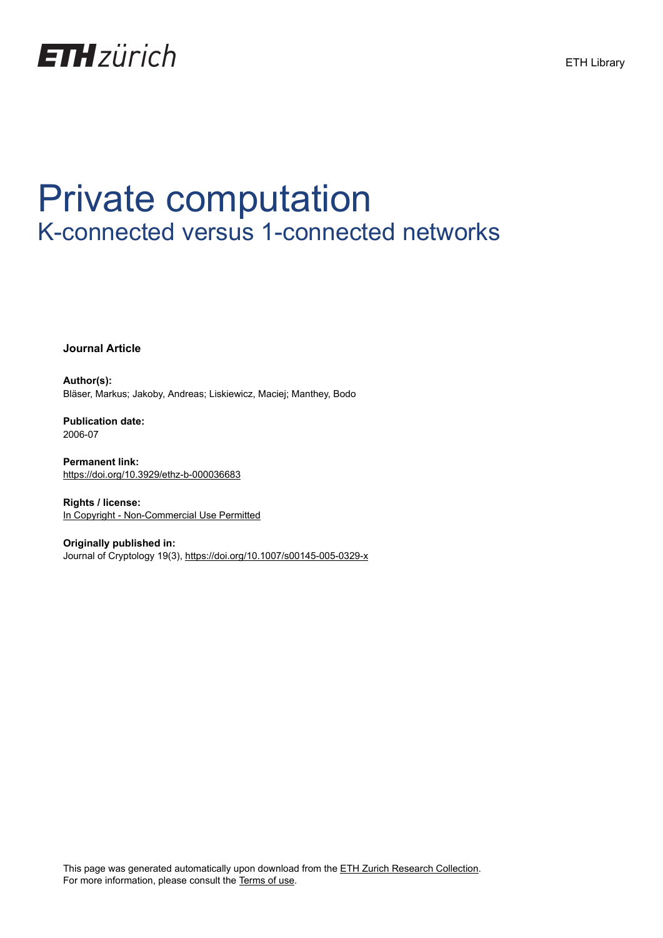

# Private computation K-connected versus 1-connected networks

**Journal Article**

**Author(s):** Bläser, Markus; Jakoby, Andreas; Liskiewicz, Maciej; Manthey, Bodo

**Publication date:** 2006-07

**Permanent link:** <https://doi.org/10.3929/ethz-b-000036683>

**Rights / license:** [In Copyright - Non-Commercial Use Permitted](http://rightsstatements.org/page/InC-NC/1.0/)

**Originally published in:** Journal of Cryptology 19(3),<https://doi.org/10.1007/s00145-005-0329-x> ETH Library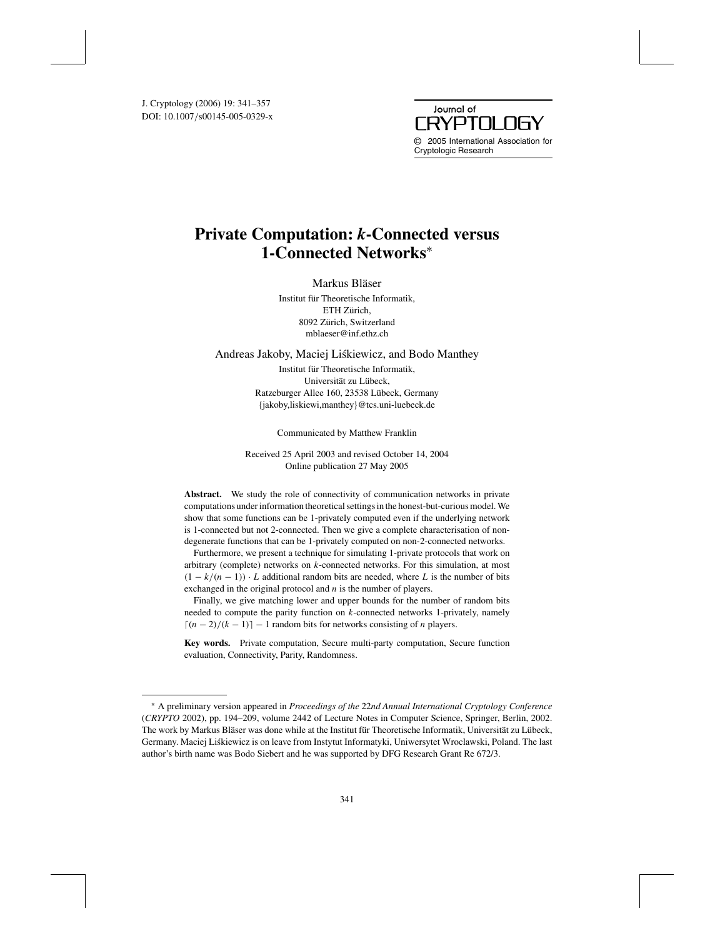DOI: 10.1007/s00145-005-0329-x J. Cryptology (2006) 19: 341–357



# **Private Computation:** *k***-Connected versus 1-Connected Networks**<sup>∗</sup>

Markus Bläser

Institut für Theoretische Informatik, ETH Zürich. 8092 Zürich, Switzerland mblaeser@inf.ethz.ch

Andreas Jakoby, Maciej Liśkiewicz, and Bodo Manthey

Institut für Theoretische Informatik, Universität zu Lübeck, Ratzeburger Allee 160, 23538 Lübeck, Germany {jakoby,liskiewi,manthey}@tcs.uni-luebeck.de

Communicated by Matthew Franklin

Received 25 April 2003 and revised October 14, 2004 Online publication 27 May 2005

Abstract. We study the role of connectivity of communication networks in private computations under information theoretical settings in the honest-but-curious model. We show that some functions can be 1-privately computed even if the underlying network is 1-connected but not 2-connected. Then we give a complete characterisation of nondegenerate functions that can be 1-privately computed on non-2-connected networks.

Furthermore, we present a technique for simulating 1-private protocols that work on arbitrary (complete) networks on *k*-connected networks. For this simulation, at most  $(1 - k/(n - 1)) \cdot L$  additional random bits are needed, where *L* is the number of bits exchanged in the original protocol and *n* is the number of players.

Finally, we give matching lower and upper bounds for the number of random bits needed to compute the parity function on *k*-connected networks 1-privately, namely  $[(n-2)/(k-1)] - 1$  random bits for networks consisting of *n* players.

**Key words.** Private computation, Secure multi-party computation, Secure function evaluation, Connectivity, Parity, Randomness.

<sup>∗</sup> A preliminary version appeared in *Proceedings of the* 22*nd Annual International Cryptology Conference* (*CRYPTO* 2002), pp. 194–209, volume 2442 of Lecture Notes in Computer Science, Springer, Berlin, 2002. The work by Markus Bläser was done while at the Institut für Theoretische Informatik, Universität zu Lübeck, Germany. Maciej Liśkiewicz is on leave from Instytut Informatyki, Uniwersytet Wroclawski, Poland. The last author's birth name was Bodo Siebert and he was supported by DFG Research Grant Re 672/3.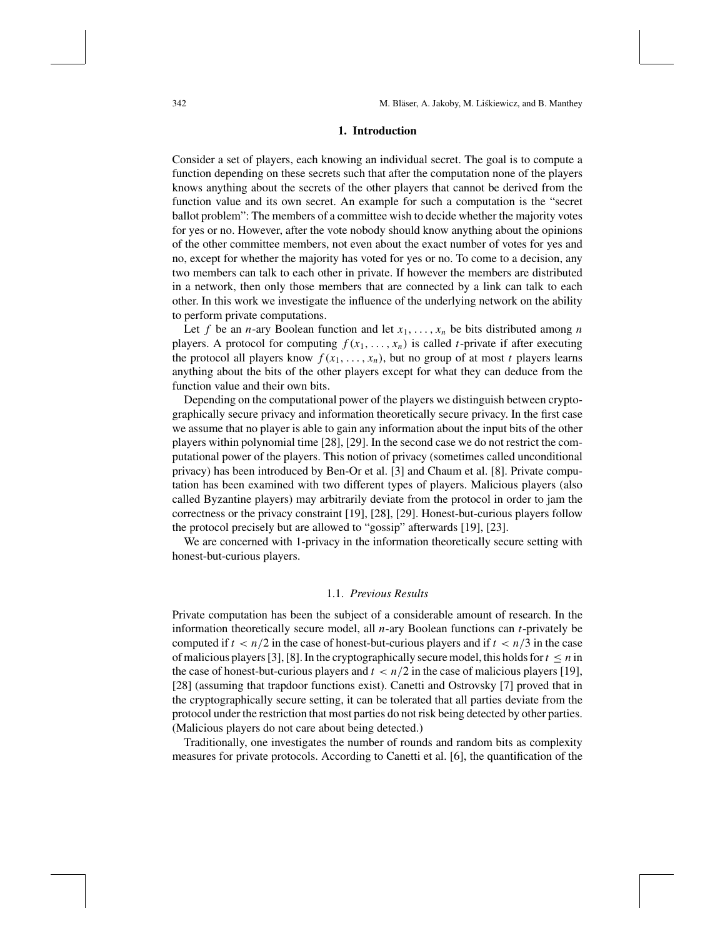# **1. Introduction**

Consider a set of players, each knowing an individual secret. The goal is to compute a function depending on these secrets such that after the computation none of the players knows anything about the secrets of the other players that cannot be derived from the function value and its own secret. An example for such a computation is the "secret ballot problem": The members of a committee wish to decide whether the majority votes for yes or no. However, after the vote nobody should know anything about the opinions of the other committee members, not even about the exact number of votes for yes and no, except for whether the majority has voted for yes or no. To come to a decision, any two members can talk to each other in private. If however the members are distributed in a network, then only those members that are connected by a link can talk to each other. In this work we investigate the influence of the underlying network on the ability to perform private computations.

Let *f* be an *n*-ary Boolean function and let  $x_1, \ldots, x_n$  be bits distributed among *n* players. A protocol for computing  $f(x_1, \ldots, x_n)$  is called *t*-private if after executing the protocol all players know  $f(x_1, \ldots, x_n)$ , but no group of at most *t* players learns anything about the bits of the other players except for what they can deduce from the function value and their own bits.

Depending on the computational power of the players we distinguish between cryptographically secure privacy and information theoretically secure privacy. In the first case we assume that no player is able to gain any information about the input bits of the other players within polynomial time [28], [29]. In the second case we do not restrict the computational power of the players. This notion of privacy (sometimes called unconditional privacy) has been introduced by Ben-Or et al. [3] and Chaum et al. [8]. Private computation has been examined with two different types of players. Malicious players (also called Byzantine players) may arbitrarily deviate from the protocol in order to jam the correctness or the privacy constraint [19], [28], [29]. Honest-but-curious players follow the protocol precisely but are allowed to "gossip" afterwards [19], [23].

We are concerned with 1-privacy in the information theoretically secure setting with honest-but-curious players.

# 1.1. *Previous Results*

Private computation has been the subject of a considerable amount of research. In the information theoretically secure model, all *n*-ary Boolean functions can *t*-privately be computed if  $t < n/2$  in the case of honest-but-curious players and if  $t < n/3$  in the case of malicious players [3], [8]. In the cryptographically secure model, this holds for  $t \leq n$  in the case of honest-but-curious players and  $t < n/2$  in the case of malicious players [19], [28] (assuming that trapdoor functions exist). Canetti and Ostrovsky [7] proved that in the cryptographically secure setting, it can be tolerated that all parties deviate from the protocol under the restriction that most parties do not risk being detected by other parties. (Malicious players do not care about being detected.)

Traditionally, one investigates the number of rounds and random bits as complexity measures for private protocols. According to Canetti et al. [6], the quantification of the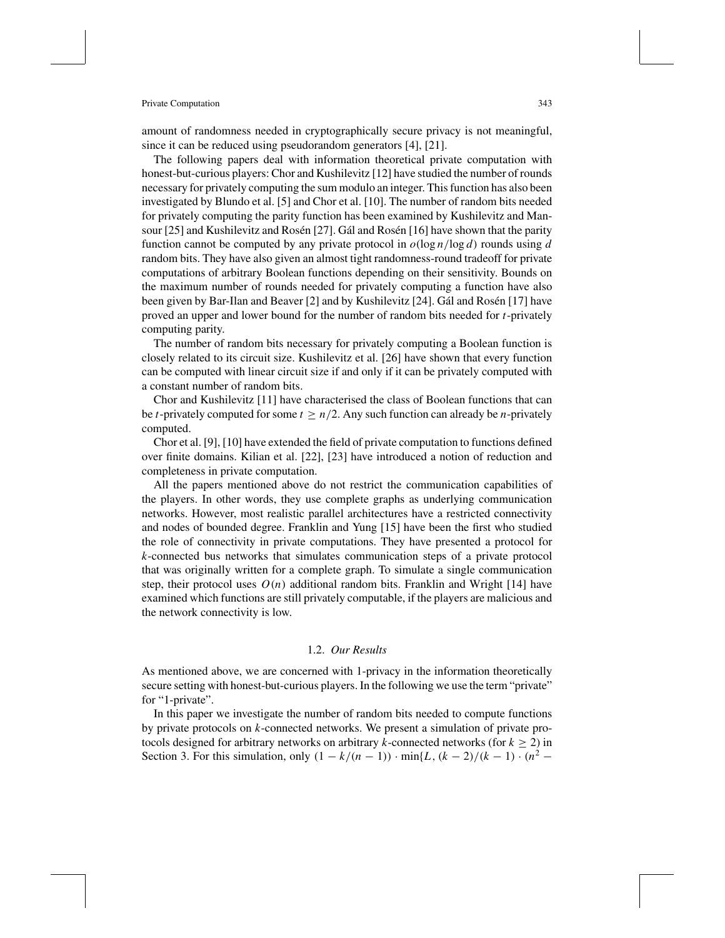amount of randomness needed in cryptographically secure privacy is not meaningful, since it can be reduced using pseudorandom generators [4], [21].

The following papers deal with information theoretical private computation with honest-but-curious players: Chor and Kushilevitz [12] have studied the number of rounds necessary for privately computing the sum modulo an integer. This function has also been investigated by Blundo et al. [5] and Chor et al. [10]. The number of random bits needed for privately computing the parity function has been examined by Kushilevitz and Mansour [25] and Kushilevitz and Rosén [27]. Gál and Rosén [16] have shown that the parity function cannot be computed by any private protocol in  $o(\log n / \log d)$  rounds using *d* random bits. They have also given an almost tight randomness-round tradeoff for private computations of arbitrary Boolean functions depending on their sensitivity. Bounds on the maximum number of rounds needed for privately computing a function have also been given by Bar-Ilan and Beaver [2] and by Kushilevitz [24]. Gál and Rosén [17] have proved an upper and lower bound for the number of random bits needed for *t*-privately computing parity.

The number of random bits necessary for privately computing a Boolean function is closely related to its circuit size. Kushilevitz et al. [26] have shown that every function can be computed with linear circuit size if and only if it can be privately computed with a constant number of random bits.

Chor and Kushilevitz [11] have characterised the class of Boolean functions that can be *t*-privately computed for some  $t \ge n/2$ . Any such function can already be *n*-privately computed.

Chor et al. [9], [10] have extended the field of private computation to functions defined over finite domains. Kilian et al. [22], [23] have introduced a notion of reduction and completeness in private computation.

All the papers mentioned above do not restrict the communication capabilities of the players. In other words, they use complete graphs as underlying communication networks. However, most realistic parallel architectures have a restricted connectivity and nodes of bounded degree. Franklin and Yung [15] have been the first who studied the role of connectivity in private computations. They have presented a protocol for *k*-connected bus networks that simulates communication steps of a private protocol that was originally written for a complete graph. To simulate a single communication step, their protocol uses  $O(n)$  additional random bits. Franklin and Wright [14] have examined which functions are still privately computable, if the players are malicious and the network connectivity is low.

#### 1.2. *Our Results*

As mentioned above, we are concerned with 1-privacy in the information theoretically secure setting with honest-but-curious players. In the following we use the term "private" for "1-private".

In this paper we investigate the number of random bits needed to compute functions by private protocols on *k*-connected networks. We present a simulation of private protocols designed for arbitrary networks on arbitrary *k*-connected networks (for  $k \ge 2$ ) in Section 3. For this simulation, only  $(1 - k/(n - 1)) \cdot \min\{L, (k - 2)/(k - 1) \cdot (n^2 - 1)\}$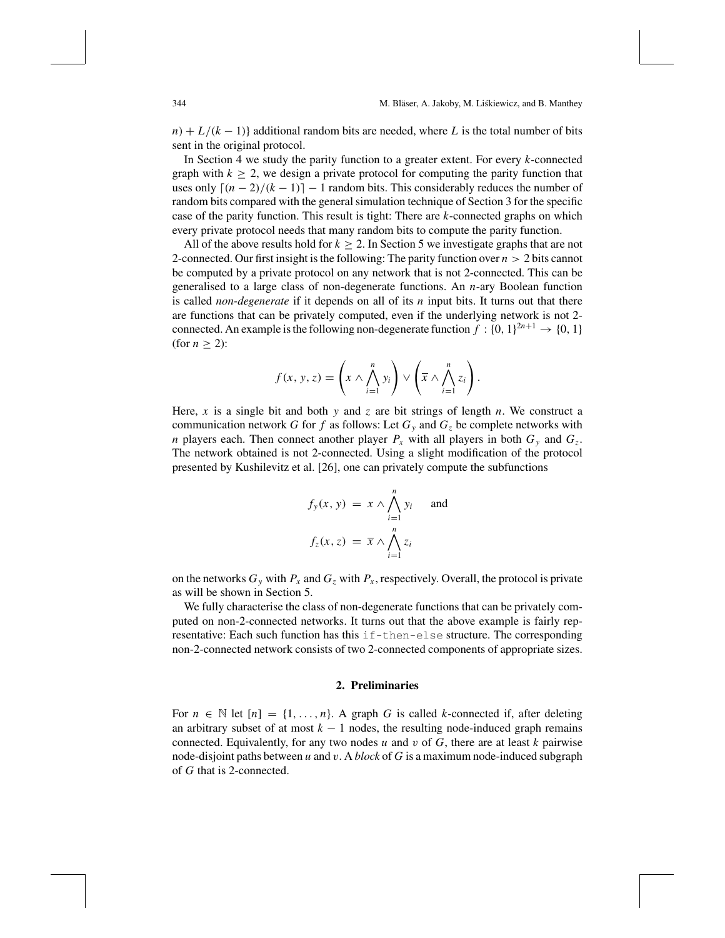$n$ ) + *L*/( $k$  − 1)} additional random bits are needed, where *L* is the total number of bits sent in the original protocol.

In Section 4 we study the parity function to a greater extent. For every *k*-connected graph with  $k \geq 2$ , we design a private protocol for computing the parity function that uses only  $\lceil (n-2)/(k-1) \rceil - 1$  random bits. This considerably reduces the number of random bits compared with the general simulation technique of Section 3 for the specific case of the parity function. This result is tight: There are *k*-connected graphs on which every private protocol needs that many random bits to compute the parity function.

All of the above results hold for  $k \ge 2$ . In Section 5 we investigate graphs that are not 2-connected. Our first insight is the following: The parity function over *n* > 2 bits cannot be computed by a private protocol on any network that is not 2-connected. This can be generalised to a large class of non-degenerate functions. An *n*-ary Boolean function is called *non-degenerate* if it depends on all of its *n* input bits. It turns out that there are functions that can be privately computed, even if the underlying network is not 2 connected. An example is the following non-degenerate function  $f : \{0, 1\}^{2n+1} \rightarrow \{0, 1\}$ (for  $n > 2$ ):

$$
f(x, y, z) = \left(x \wedge \bigwedge_{i=1}^{n} y_i\right) \vee \left(\overline{x} \wedge \bigwedge_{i=1}^{n} z_i\right).
$$

Here, *x* is a single bit and both *y* and *z* are bit strings of length *n*. We construct a communication network *G* for *f* as follows: Let  $G_y$  and  $G_z$  be complete networks with *n* players each. Then connect another player  $P_x$  with all players in both  $G_y$  and  $G_z$ . The network obtained is not 2-connected. Using a slight modification of the protocol presented by Kushilevitz et al. [26], one can privately compute the subfunctions

$$
f_y(x, y) = x \land \bigwedge_{i=1}^n y_i \quad \text{and}
$$

$$
f_z(x, z) = \overline{x} \land \bigwedge_{i=1}^n z_i
$$

on the networks  $G_y$  with  $P_x$  and  $G_z$  with  $P_x$ , respectively. Overall, the protocol is private as will be shown in Section 5.

We fully characterise the class of non-degenerate functions that can be privately computed on non-2-connected networks. It turns out that the above example is fairly representative: Each such function has this  $if$ -then-else structure. The corresponding non-2-connected network consists of two 2-connected components of appropriate sizes.

## **2. Preliminaries**

For  $n \in \mathbb{N}$  let  $[n] = \{1, \ldots, n\}$ . A graph *G* is called *k*-connected if, after deleting an arbitrary subset of at most  $k - 1$  nodes, the resulting node-induced graph remains connected. Equivalently, for any two nodes  $u$  and  $v$  of  $G$ , there are at least  $k$  pairwise node-disjoint paths between *u* and v. A *block* of *G* is a maximum node-induced subgraph of *G* that is 2-connected.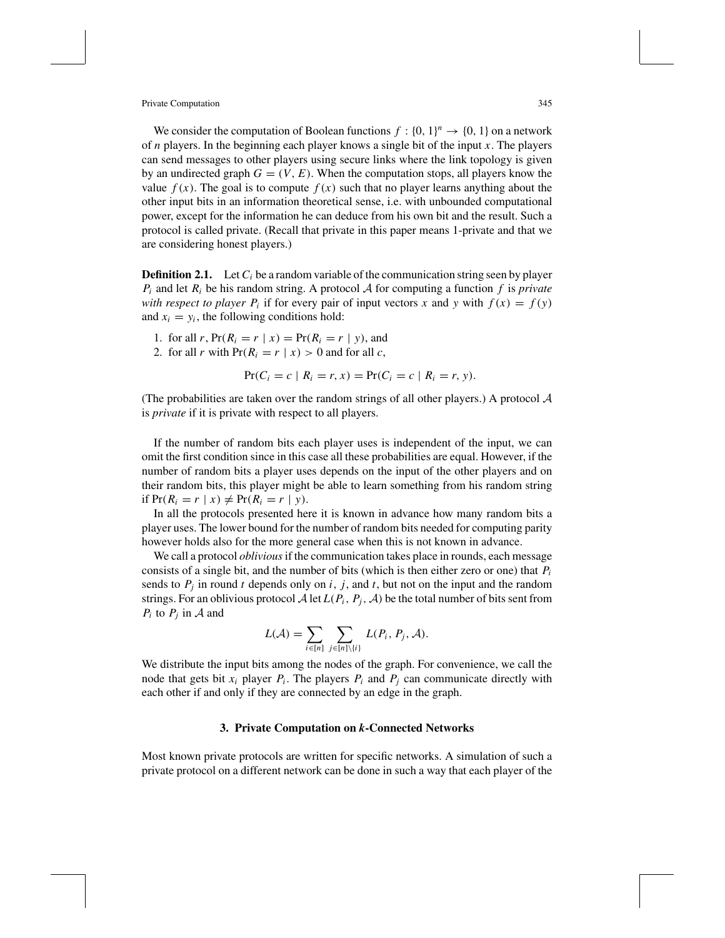We consider the computation of Boolean functions  $f : \{0, 1\}^n \to \{0, 1\}$  on a network of *n* players. In the beginning each player knows a single bit of the input *x*. The players can send messages to other players using secure links where the link topology is given by an undirected graph  $G = (V, E)$ . When the computation stops, all players know the value  $f(x)$ . The goal is to compute  $f(x)$  such that no player learns anything about the other input bits in an information theoretical sense, i.e. with unbounded computational power, except for the information he can deduce from his own bit and the result. Such a protocol is called private. (Recall that private in this paper means 1-private and that we are considering honest players.)

**Definition 2.1.** Let  $C_i$  be a random variable of the communication string seen by player *Pi* and let *Ri* be his random string. A protocol A for computing a function *f* is *private with respect to player P<sub>i</sub>* if for every pair of input vectors *x* and *y* with  $f(x) = f(y)$ and  $x_i = y_i$ , the following conditions hold:

- 1. for all *r*,  $Pr(R_i = r | x) = Pr(R_i = r | y)$ , and
- 2. for all *r* with  $Pr(R_i = r | x) > 0$  and for all *c*,

$$
Pr(C_i = c \mid R_i = r, x) = Pr(C_i = c \mid R_i = r, y).
$$

(The probabilities are taken over the random strings of all other players.) A protocol  $\mathcal A$ is *private* if it is private with respect to all players.

If the number of random bits each player uses is independent of the input, we can omit the first condition since in this case all these probabilities are equal. However, if the number of random bits a player uses depends on the input of the other players and on their random bits, this player might be able to learn something from his random string if  $Pr(R_i = r | x) \neq Pr(R_i = r | y)$ .

In all the protocols presented here it is known in advance how many random bits a player uses. The lower bound for the number of random bits needed for computing parity however holds also for the more general case when this is not known in advance.

We call a protocol *oblivious*if the communication takes place in rounds, each message consists of a single bit, and the number of bits (which is then either zero or one) that *Pi* sends to  $P_i$  in round *t* depends only on  $i$ ,  $j$ , and  $t$ , but not on the input and the random strings. For an oblivious protocol  $A$  let  $L(P_i, P_j, A)$  be the total number of bits sent from  $P_i$  to  $P_j$  in  $A$  and

$$
L(\mathcal{A}) = \sum_{i \in [n]} \sum_{j \in [n] \setminus \{i\}} L(P_i, P_j, \mathcal{A}).
$$

We distribute the input bits among the nodes of the graph. For convenience, we call the node that gets bit  $x_i$  player  $P_i$ . The players  $P_i$  and  $P_j$  can communicate directly with each other if and only if they are connected by an edge in the graph.

# **3. Private Computation on** *k***-Connected Networks**

Most known private protocols are written for specific networks. A simulation of such a private protocol on a different network can be done in such a way that each player of the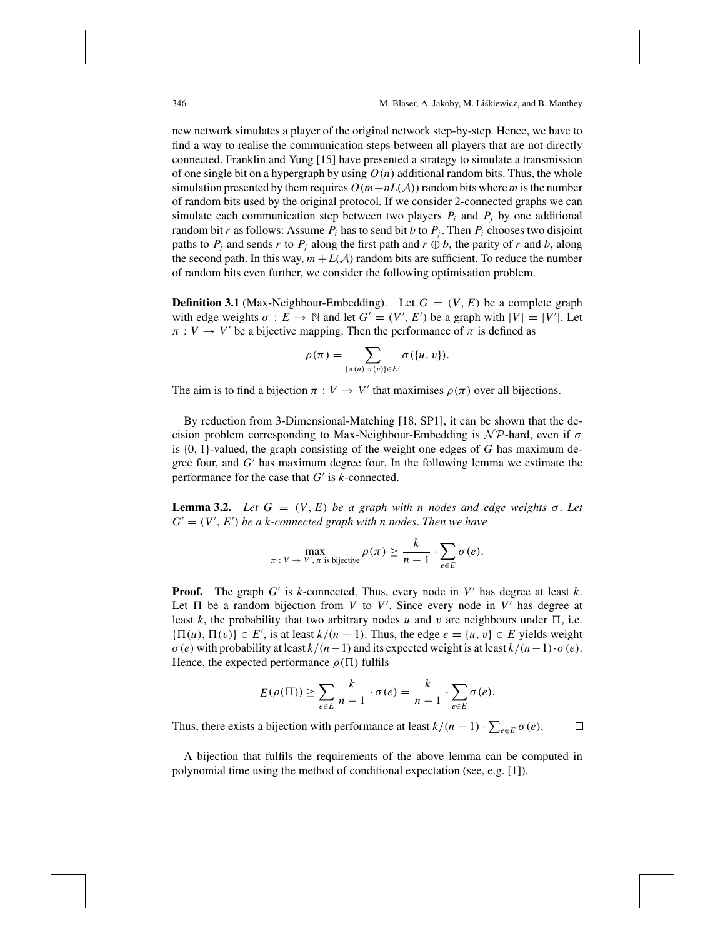new network simulates a player of the original network step-by-step. Hence, we have to find a way to realise the communication steps between all players that are not directly connected. Franklin and Yung [15] have presented a strategy to simulate a transmission of one single bit on a hypergraph by using  $O(n)$  additional random bits. Thus, the whole simulation presented by them requires  $O(m+nL(\mathcal{A}))$  random bits where *m* is the number of random bits used by the original protocol. If we consider 2-connected graphs we can simulate each communication step between two players  $P_i$  and  $P_j$  by one additional random bit *r* as follows: Assume  $P_i$  has to send bit *b* to  $P_j$ . Then  $P_i$  chooses two disjoint paths to  $P_i$  and sends  $r$  to  $P_j$  along the first path and  $r \oplus b$ , the parity of  $r$  and  $b$ , along the second path. In this way,  $m + L(\mathcal{A})$  random bits are sufficient. To reduce the number of random bits even further, we consider the following optimisation problem.

**Definition 3.1** (Max-Neighbour-Embedding). Let  $G = (V, E)$  be a complete graph with edge weights  $\sigma : E \to \mathbb{N}$  and let  $G' = (V', E')$  be a graph with  $|V| = |V'|$ . Let  $\pi : V \to V'$  be a bijective mapping. Then the performance of  $\pi$  is defined as

$$
\rho(\pi) = \sum_{\{\pi(u), \pi(v)\} \in E'} \sigma(\{u, v\}).
$$

The aim is to find a bijection  $\pi : V \to V'$  that maximises  $\rho(\pi)$  over all bijections.

By reduction from 3-Dimensional-Matching [18, SP1], it can be shown that the decision problem corresponding to Max-Neighbour-Embedding is  $N\mathcal{P}$ -hard, even if  $\sigma$ is {0, 1}-valued, the graph consisting of the weight one edges of *G* has maximum degree four, and *G'* has maximum degree four. In the following lemma we estimate the performance for the case that  $G'$  is  $k$ -connected.

**Lemma 3.2.** *Let*  $G = (V, E)$  *be a graph with n* nodes and edge weights σ. Let  $G' = (V', E')$  *be a k-connected graph with n nodes. Then we have* 

$$
\max_{\pi: V \to V', \pi \text{ is bijective}} \rho(\pi) \geq \frac{k}{n-1} \cdot \sum_{e \in E} \sigma(e).
$$

**Proof.** The graph *G'* is *k*-connected. Thus, every node in *V'* has degree at least *k*. Let  $\Pi$  be a random bijection from *V* to *V'*. Since every node in *V'* has degree at least  $k$ , the probability that two arbitrary nodes  $u$  and  $v$  are neighbours under  $\Pi$ , i.e.  ${\Pi(u), \Pi(v)} \in E'$ , is at least  $k/(n-1)$ . Thus, the edge  $e = {u, v} \in E$  yields weight  $\sigma$ (*e*) with probability at least  $k/(n-1)$  and its expected weight is at least  $k/(n-1) \cdot \sigma(e)$ . Hence, the expected performance  $\rho(\Pi)$  fulfils

$$
E(\rho(\Pi)) \ge \sum_{e \in E} \frac{k}{n-1} \cdot \sigma(e) = \frac{k}{n-1} \cdot \sum_{e \in E} \sigma(e).
$$

Thus, there exists a bijection with performance at least  $k/(n-1) \cdot \sum_{e \in E} \sigma(e)$ . 囗

A bijection that fulfils the requirements of the above lemma can be computed in polynomial time using the method of conditional expectation (see, e.g. [1]).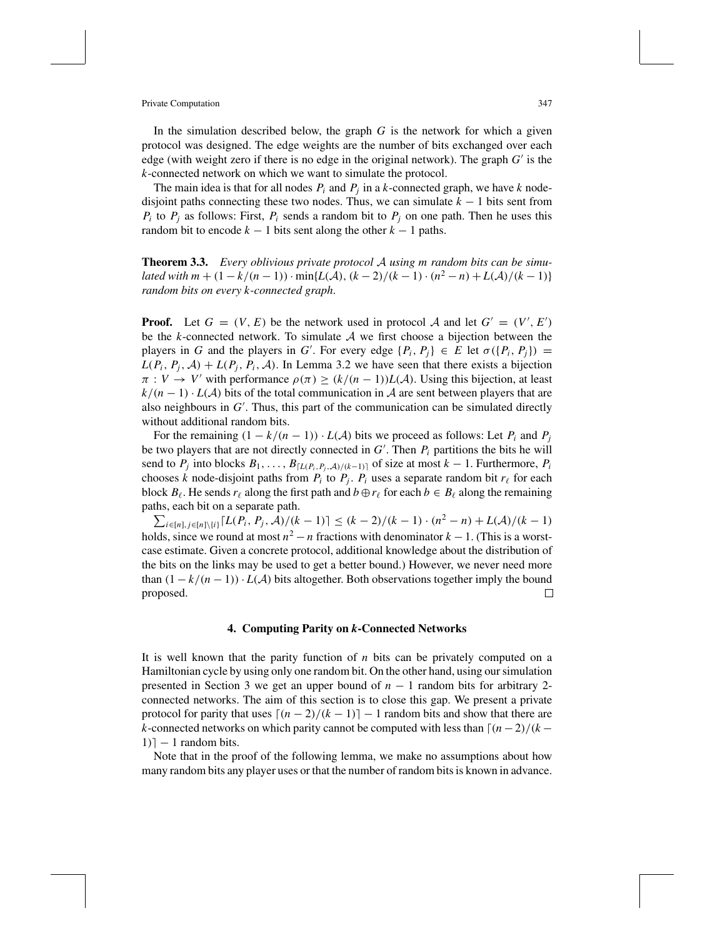In the simulation described below, the graph *G* is the network for which a given protocol was designed. The edge weights are the number of bits exchanged over each edge (with weight zero if there is no edge in the original network). The graph  $G'$  is the *k*-connected network on which we want to simulate the protocol.

The main idea is that for all nodes  $P_i$  and  $P_j$  in a *k*-connected graph, we have *k* nodedisjoint paths connecting these two nodes. Thus, we can simulate  $k - 1$  bits sent from  $P_i$  to  $P_j$  as follows: First,  $P_i$  sends a random bit to  $P_j$  on one path. Then he uses this random bit to encode  $k - 1$  bits sent along the other  $k - 1$  paths.

**Theorem 3.3.** *Every oblivious private protocol* A *using m random bits can be simulated with m* + (1 − *k*/(*n* − 1)) · min{*L*(*A*), (*k* − 2)/(*k* − 1) · (*n*<sup>2</sup> − *n*) + *L*(*A*)/(*k* − 1)} *random bits on every k-connected graph*.

**Proof.** Let  $G = (V, E)$  be the network used in protocol A and let  $G' = (V', E')$ be the  $k$ -connected network. To simulate  $A$  we first choose a bijection between the players in *G* and the players in *G'*. For every edge  $\{P_i, P_j\} \in E$  let  $\sigma(\{P_i, P_j\}) =$  $L(P_i, P_i, A) + L(P_i, P_i, A)$ . In Lemma 3.2 we have seen that there exists a bijection  $\pi : V \to V'$  with performance  $\rho(\pi) \ge (k/(n-1))L(\mathcal{A})$ . Using this bijection, at least  $k/(n-1) \cdot L(\mathcal{A})$  bits of the total communication in A are sent between players that are also neighbours in *G* . Thus, this part of the communication can be simulated directly without additional random bits.

For the remaining  $(1 - k/(n - 1)) \cdot L(\mathcal{A})$  bits we proceed as follows: Let  $P_i$  and  $P_j$ be two players that are not directly connected in  $G'$ . Then  $P_i$  partitions the bits he will send to  $P_j$  into blocks  $B_1, \ldots, B_{[L(P_i, P_i, A)/(k-1)]}$  of size at most  $k-1$ . Furthermore,  $P_i$ chooses *k* node-disjoint paths from  $P_i$  to  $P_j$ .  $P_i$  uses a separate random bit  $r_\ell$  for each block  $B_\ell$ . He sends  $r_\ell$  along the first path and  $b \oplus r_\ell$  for each  $b \in B_\ell$  along the remaining paths, each bit on a separate path.

 $\sum_{i \in [n], j \in [n] \setminus \{i\}} [L(P_i, P_j, \mathcal{A})/(k-1)] \le (k-2)/(k-1) \cdot (n^2 - n) + L(\mathcal{A})/(k-1)$ holds, since we round at most  $n^2 - n$  fractions with denominator  $k - 1$ . (This is a worstcase estimate. Given a concrete protocol, additional knowledge about the distribution of the bits on the links may be used to get a better bound.) However, we never need more than  $(1 - k/(n - 1)) \cdot L(\mathcal{A})$  bits altogether. Both observations together imply the bound proposed.  $\Box$ 

#### **4. Computing Parity on** *k***-Connected Networks**

It is well known that the parity function of *n* bits can be privately computed on a Hamiltonian cycle by using only one random bit. On the other hand, using our simulation presented in Section 3 we get an upper bound of *n* − 1 random bits for arbitrary 2 connected networks. The aim of this section is to close this gap. We present a private protocol for parity that uses  $[(n-2)/(k-1)] - 1$  random bits and show that there are *k*-connected networks on which parity cannot be computed with less than  $\frac{(n-2)}{(k-1)}$  $1)$ ] − 1 random bits.

Note that in the proof of the following lemma, we make no assumptions about how many random bits any player uses or that the number of random bits is known in advance.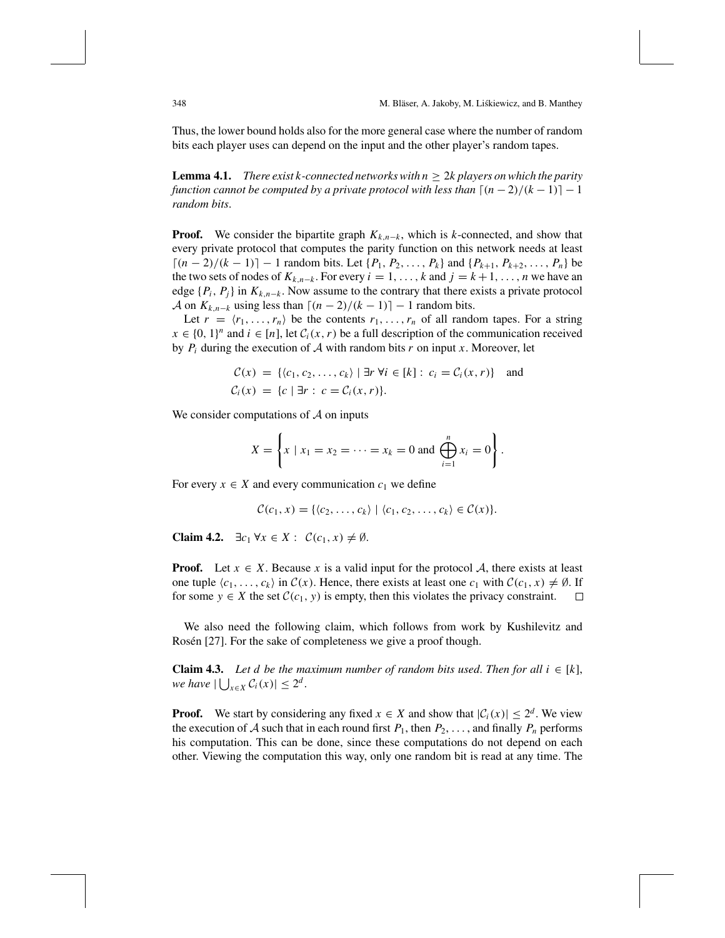Thus, the lower bound holds also for the more general case where the number of random bits each player uses can depend on the input and the other player's random tapes.

**Lemma 4.1.** *There exist k-connected networks with*  $n \geq 2k$  *players on which the parity function cannot be computed by a private protocol with less than*  $\lceil (n-2)/(k-1) \rceil - 1$ *random bits*.

**Proof.** We consider the bipartite graph  $K_{k,n-k}$ , which is *k*-connected, and show that every private protocol that computes the parity function on this network needs at least  $[(n-2)/(k-1)] - 1$  random bits. Let  $\{P_1, P_2, \ldots, P_k\}$  and  $\{P_{k+1}, P_{k+2}, \ldots, P_n\}$  be the two sets of nodes of  $K_{k,n-k}$ . For every  $i = 1, \ldots, k$  and  $j = k+1, \ldots, n$  we have an edge  $\{P_i, P_j\}$  in  $K_{k,n-k}$ . Now assume to the contrary that there exists a private protocol A on  $K_{k,n-k}$  using less than  $\lceil (n-2)/(k-1) \rceil - 1$  random bits.

Let  $r = \langle r_1, \ldots, r_n \rangle$  be the contents  $r_1, \ldots, r_n$  of all random tapes. For a string  $x \in \{0, 1\}^n$  and  $i \in [n]$ , let  $C_i(x, r)$  be a full description of the communication received by  $P_i$  during the execution of  $\mathcal A$  with random bits  $r$  on input  $x$ . Moreover, let

$$
\mathcal{C}(x) = \{ \langle c_1, c_2, \dots, c_k \rangle \mid \exists r \,\forall i \in [k] : c_i = \mathcal{C}_i(x, r) \} \text{ and}
$$
  

$$
\mathcal{C}_i(x) = \{ c \mid \exists r : c = \mathcal{C}_i(x, r) \}.
$$

We consider computations of  $A$  on inputs

$$
X = \left\{ x \mid x_1 = x_2 = \cdots = x_k = 0 \text{ and } \bigoplus_{i=1}^n x_i = 0 \right\}.
$$

For every  $x \in X$  and every communication  $c_1$  we define

$$
\mathcal{C}(c_1,x) = \{ \langle c_2,\ldots,c_k \rangle \mid \langle c_1,c_2,\ldots,c_k \rangle \in \mathcal{C}(x) \}.
$$

**Claim 4.2.**  $\exists c_1 \forall x \in X : C(c_1, x) \neq \emptyset$ .

**Proof.** Let  $x \in X$ . Because x is a valid input for the protocol A, there exists at least one tuple  $\langle c_1, \ldots, c_k \rangle$  in  $\mathcal{C}(x)$ . Hence, there exists at least one  $c_1$  with  $\mathcal{C}(c_1, x) \neq \emptyset$ . If for some  $y \in X$  the set  $\mathcal{C}(c_1, y)$  is empty, then this violates the privacy constraint. 口

We also need the following claim, which follows from work by Kushilevitz and Rosén [27]. For the sake of completeness we give a proof though.

**Claim 4.3.** *Let d be the maximum number of random bits used. Then for all i*  $\in$  [ $k$ ], *we have*  $|\bigcup_{x \in X} C_i(x)| \leq 2^d$ .

**Proof.** We start by considering any fixed  $x \in X$  and show that  $|\mathcal{C}_i(x)| \leq 2^d$ . We view the execution of A such that in each round first  $P_1$ , then  $P_2, \ldots$ , and finally  $P_n$  performs his computation. This can be done, since these computations do not depend on each other. Viewing the computation this way, only one random bit is read at any time. The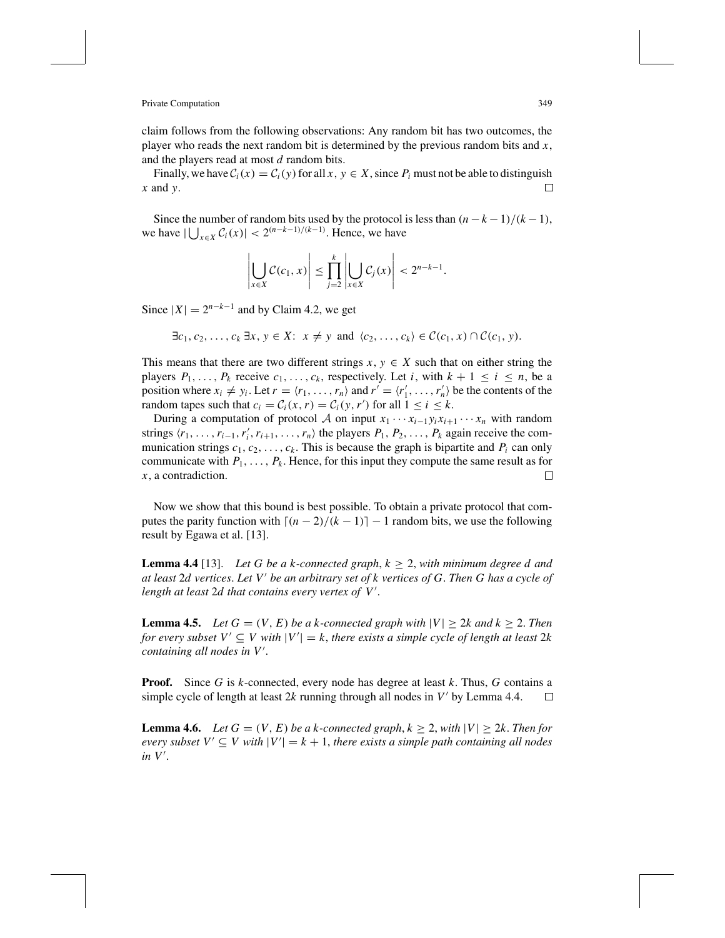claim follows from the following observations: Any random bit has two outcomes, the player who reads the next random bit is determined by the previous random bits and *x*, and the players read at most *d* random bits.

Finally, we have  $C_i(x) = C_i(y)$  for all  $x, y \in X$ , since  $P_i$  must not be able to distinguish *x* and *y*.  $\Box$ 

Since the number of random bits used by the protocol is less than  $(n - k - 1)/(k - 1)$ , we have  $|\bigcup_{x \in X} C_i(x)| < 2^{(n-k-1)/(k-1)}$ . Hence, we have

$$
\left|\bigcup_{x\in X} C(c_1,x)\right| \leq \prod_{j=2}^k \left|\bigcup_{x\in X} C_j(x)\right| < 2^{n-k-1}.
$$

Since  $|X| = 2^{n-k-1}$  and by Claim 4.2, we get

$$
\exists c_1, c_2, \ldots, c_k \exists x, y \in X: x \neq y \text{ and } \langle c_2, \ldots, c_k \rangle \in \mathcal{C}(c_1, x) \cap \mathcal{C}(c_1, y).
$$

This means that there are two different strings  $x, y \in X$  such that on either string the players  $P_1, \ldots, P_k$  receive  $c_1, \ldots, c_k$ , respectively. Let *i*, with  $k + 1 \le i \le n$ , be a position where  $x_i \neq y_i$ . Let  $r = \langle r_1, \ldots, r_n \rangle$  and  $r' = \langle r'_1, \ldots, r'_n \rangle$  be the contents of the random tapes such that  $c_i = C_i(x, r) = C_i(y, r')$  for all  $1 \le i \le k$ .

During a computation of protocol A on input  $x_1 \cdots x_{i-1} y_i x_{i+1} \cdots x_n$  with random strings  $\langle r_1, \ldots, r_{i-1}, r'_i, r_{i+1}, \ldots, r_n \rangle$  the players  $P_1, P_2, \ldots, P_k$  again receive the communication strings  $c_1, c_2, \ldots, c_k$ . This is because the graph is bipartite and  $P_i$  can only communicate with  $P_1, \ldots, P_k$ . Hence, for this input they compute the same result as for *x*, a contradiction.  $\Box$ 

Now we show that this bound is best possible. To obtain a private protocol that computes the parity function with  $\lceil (n-2)/(k-1) \rceil - 1$  random bits, we use the following result by Egawa et al. [13].

**Lemma 4.4** [13]. Let G be a k-connected graph,  $k \ge 2$ , with minimum degree d and *at least* 2*d vertices*. *Let V be an arbitrary set of k vertices of G*. *Then G has a cycle of length at least* 2*d that contains every vertex of V* .

**Lemma 4.5.** *Let*  $G = (V, E)$  *be a k-connected graph with*  $|V| \geq 2k$  *and*  $k \geq 2$ *. Then for every subset*  $V' \subseteq V$  *with*  $|V'| = k$ , *there exists a simple cycle of length at least*  $2k$ *containing all nodes in V* .

**Proof.** Since *G* is *k*-connected, every node has degree at least *k*. Thus, *G* contains a simple cycle of length at least  $2k$  running through all nodes in  $V'$  by Lemma 4.4.  $\Box$ 

**Lemma 4.6.** *Let*  $G = (V, E)$  *be a k-connected graph, k*  $\geq 2$ *, with*  $|V| \geq 2k$ *. Then for every subset*  $V' \subseteq V$  *with*  $|V'| = k + 1$ *, there exists a simple path containing all nodes in V* .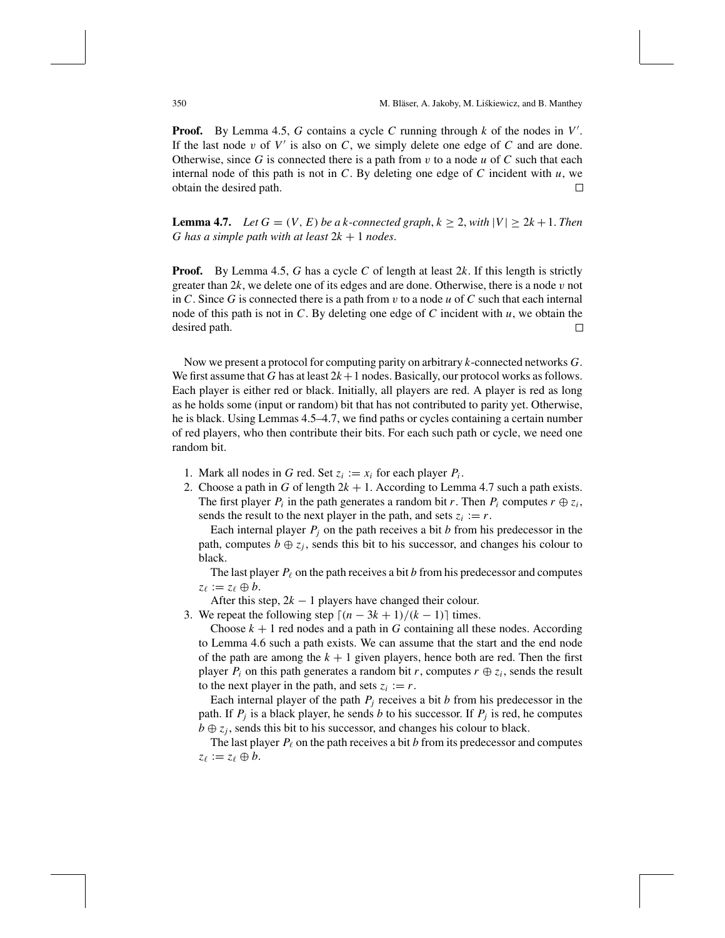**Proof.** By Lemma 4.5, *G* contains a cycle *C* running through *k* of the nodes in *V* . If the last node v of  $V'$  is also on  $C$ , we simply delete one edge of  $C$  and are done. Otherwise, since *G* is connected there is a path from v to a node *u* of *C* such that each internal node of this path is not in *C*. By deleting one edge of *C* incident with *u*, we obtain the desired path.  $\Box$ 

**Lemma 4.7.** *Let*  $G = (V, E)$  *be a k-connected graph, k*  $\geq 2$ *, with*  $|V| \geq 2k + 1$ *. Then G* has a simple path with at least  $2k + 1$  nodes.

**Proof.** By Lemma 4.5, *G* has a cycle *C* of length at least 2*k*. If this length is strictly greater than  $2k$ , we delete one of its edges and are done. Otherwise, there is a node  $v$  not in *C*. Since *G* is connected there is a path from v to a node *u* of *C* such that each internal node of this path is not in *C*. By deleting one edge of *C* incident with *u*, we obtain the desired path.  $\Box$ 

Now we present a protocol for computing parity on arbitrary *k*-connected networks *G*. We first assume that *G* has at least  $2k+1$  nodes. Basically, our protocol works as follows. Each player is either red or black. Initially, all players are red. A player is red as long as he holds some (input or random) bit that has not contributed to parity yet. Otherwise, he is black. Using Lemmas 4.5–4.7, we find paths or cycles containing a certain number of red players, who then contribute their bits. For each such path or cycle, we need one random bit.

- 1. Mark all nodes in *G* red. Set  $z_i := x_i$  for each player  $P_i$ .
- 2. Choose a path in *G* of length  $2k + 1$ . According to Lemma 4.7 such a path exists. The first player  $P_i$  in the path generates a random bit *r*. Then  $P_i$  computes  $r \oplus z_i$ , sends the result to the next player in the path, and sets  $z_i := r$ .

Each internal player  $P_i$  on the path receives a bit  $b$  from his predecessor in the path, computes  $b \oplus z_i$ , sends this bit to his successor, and changes his colour to black.

The last player  $P_\ell$  on the path receives a bit *b* from his predecessor and computes  $z_{\ell} := z_{\ell} \oplus b.$ 

After this step,  $2k - 1$  players have changed their colour.

3. We repeat the following step  $\lceil (n-3k+1)/(k-1) \rceil$  times.

Choose  $k + 1$  red nodes and a path in *G* containing all these nodes. According to Lemma 4.6 such a path exists. We can assume that the start and the end node of the path are among the  $k + 1$  given players, hence both are red. Then the first player  $P_i$  on this path generates a random bit *r*, computes  $r \oplus z_i$ , sends the result to the next player in the path, and sets  $z_i := r$ .

Each internal player of the path  $P_i$  receives a bit  $b$  from his predecessor in the path. If  $P_i$  is a black player, he sends *b* to his successor. If  $P_i$  is red, he computes  $b \oplus z_j$ , sends this bit to his successor, and changes his colour to black.

The last player  $P_\ell$  on the path receives a bit  $b$  from its predecessor and computes  $z_{\ell} := z_{\ell} \oplus b.$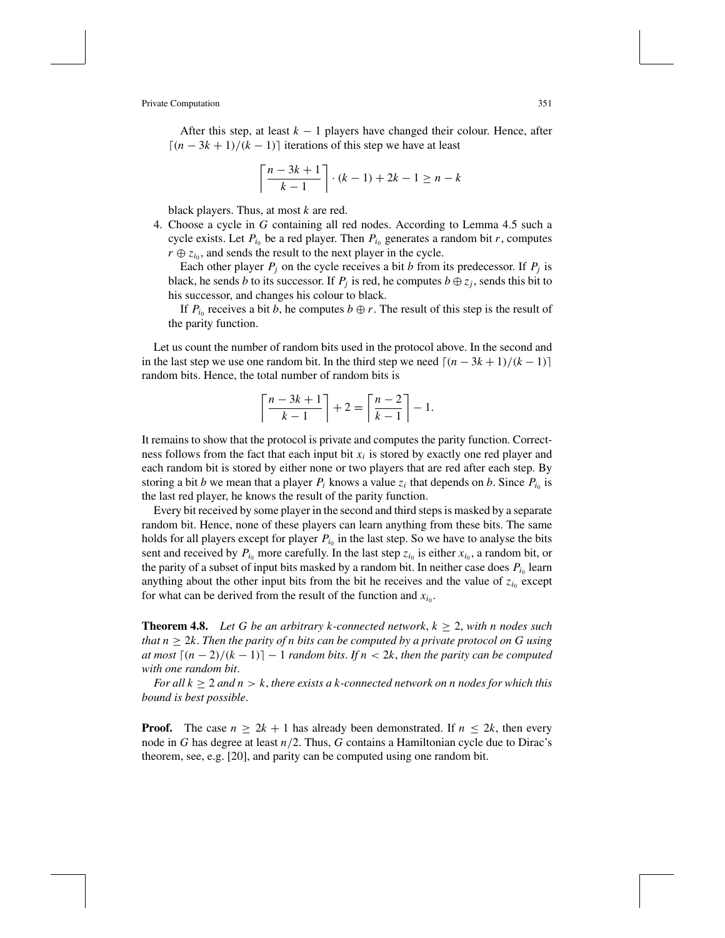After this step, at least  $k - 1$  players have changed their colour. Hence, after  $[(n-3k+1)/(k-1)]$  iterations of this step we have at least

$$
\left\lceil \frac{n-3k+1}{k-1} \right\rceil \cdot (k-1) + 2k - 1 \ge n - k
$$

black players. Thus, at most *k* are red.

4. Choose a cycle in *G* containing all red nodes. According to Lemma 4.5 such a cycle exists. Let  $P_{i_0}$  be a red player. Then  $P_{i_0}$  generates a random bit *r*, computes  $r \oplus z_{i_0}$ , and sends the result to the next player in the cycle.

Each other player  $P_i$  on the cycle receives a bit *b* from its predecessor. If  $P_i$  is black, he sends *b* to its successor. If  $P_j$  is red, he computes  $b \oplus z_j$ , sends this bit to his successor, and changes his colour to black.

If  $P_{i_0}$  receives a bit *b*, he computes  $b \oplus r$ . The result of this step is the result of the parity function.

Let us count the number of random bits used in the protocol above. In the second and in the last step we use one random bit. In the third step we need  $[(n-3k+1)/(k-1)]$ random bits. Hence, the total number of random bits is

$$
\left\lceil \frac{n-3k+1}{k-1} \right\rceil + 2 = \left\lceil \frac{n-2}{k-1} \right\rceil - 1.
$$

It remains to show that the protocol is private and computes the parity function. Correctness follows from the fact that each input bit  $x_i$  is stored by exactly one red player and each random bit is stored by either none or two players that are red after each step. By storing a bit *b* we mean that a player  $P_i$  knows a value  $z_i$  that depends on *b*. Since  $P_{i_0}$  is the last red player, he knows the result of the parity function.

Every bit received by some player in the second and third steps is masked by a separate random bit. Hence, none of these players can learn anything from these bits. The same holds for all players except for player  $P_{i_0}$  in the last step. So we have to analyse the bits sent and received by  $P_{i_0}$  more carefully. In the last step  $z_{i_0}$  is either  $x_{i_0}$ , a random bit, or the parity of a subset of input bits masked by a random bit. In neither case does  $P_{i_0}$  learn anything about the other input bits from the bit he receives and the value of  $z_{io}$  except for what can be derived from the result of the function and  $x_{i_0}$ .

**Theorem 4.8.** Let G be an arbitrary k-connected network,  $k \geq 2$ , with n nodes such *that n* ≥ 2*k*. *Then the parity of n bits can be computed by a private protocol on G using at most*  $[(n-2)/(k-1)] - 1$  *random bits. If*  $n < 2k$ , *then the parity can be computed with one random bit*.

*For all*  $k \geq 2$  *and*  $n > k$ , *there exists a* k-connected network on n nodes for which this *bound is best possible*.

**Proof.** The case  $n \geq 2k + 1$  has already been demonstrated. If  $n \leq 2k$ , then every node in *G* has degree at least *n*/2. Thus, *G* contains a Hamiltonian cycle due to Dirac's theorem, see, e.g. [20], and parity can be computed using one random bit.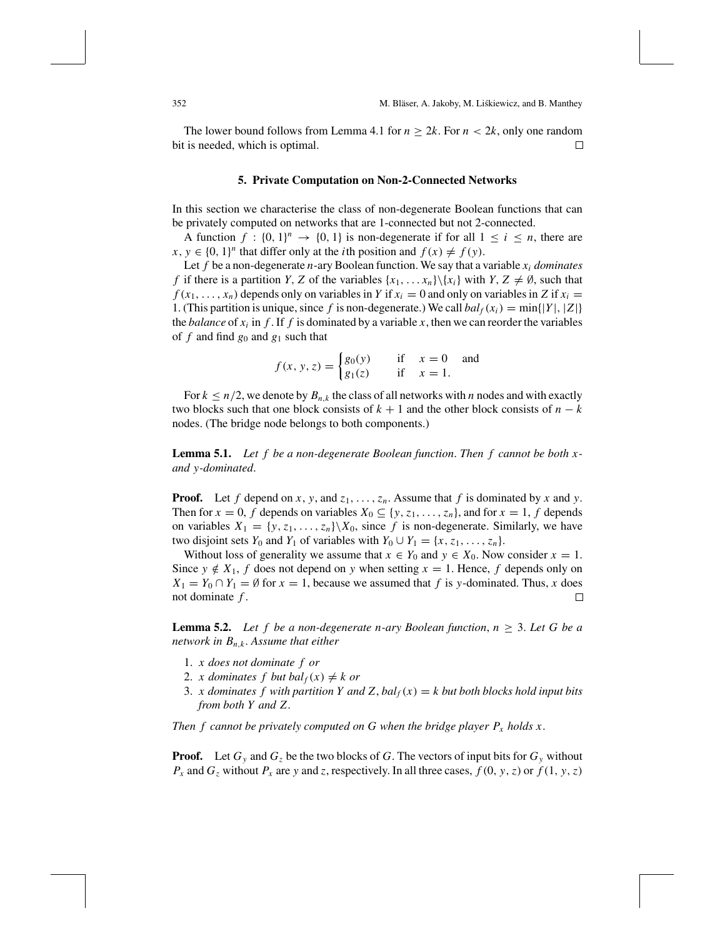The lower bound follows from Lemma 4.1 for  $n \ge 2k$ . For  $n < 2k$ , only one random bit is needed, which is optimal. □

#### **5. Private Computation on Non-2-Connected Networks**

In this section we characterise the class of non-degenerate Boolean functions that can be privately computed on networks that are 1-connected but not 2-connected.

A function  $f : \{0, 1\}^n \to \{0, 1\}$  is non-degenerate if for all  $1 \le i \le n$ , there are  $x, y \in \{0, 1\}^n$  that differ only at the *i*th position and  $f(x) \neq f(y)$ .

Let *f* be a non-degenerate *n*-ary Boolean function. We say that a variable *xi dominates f* if there is a partition *Y*, *Z* of the variables  $\{x_1, \ldots, x_n\} \setminus \{x_i\}$  with *Y*,  $Z \neq \emptyset$ , such that  $f(x_1, \ldots, x_n)$  depends only on variables in *Y* if  $x_i = 0$  and only on variables in *Z* if  $x_i =$ 1. (This partition is unique, since f is non-degenerate.) We call  $bal<sub>f</sub>(x<sub>i</sub>) = min{|Y|, |Z|}$ the *balance* of  $x_i$  in f. If f is dominated by a variable x, then we can reorder the variables of  $f$  and find  $g_0$  and  $g_1$  such that

$$
f(x, y, z) = \begin{cases} g_0(y) & \text{if } x = 0 \text{ and} \\ g_1(z) & \text{if } x = 1. \end{cases}
$$

For  $k \leq n/2$ , we denote by  $B_{n,k}$  the class of all networks with *n* nodes and with exactly two blocks such that one block consists of  $k + 1$  and the other block consists of  $n - k$ nodes. (The bridge node belongs to both components.)

**Lemma 5.1.** *Let f be a non-degenerate Boolean function*. *Then f cannot be both xand y-dominated*.

**Proof.** Let *f* depend on *x*, *y*, and  $z_1$ , ...,  $z_n$ . Assume that *f* is dominated by *x* and *y*. Then for  $x = 0$ ,  $f$  depends on variables  $X_0 \subseteq \{y, z_1, \ldots, z_n\}$ , and for  $x = 1$ ,  $f$  depends on variables  $X_1 = \{y, z_1, \ldots, z_n\} \backslash X_0$ , since f is non-degenerate. Similarly, we have two disjoint sets *Y*<sub>0</sub> and *Y*<sub>1</sub> of variables with *Y*<sub>0</sub>  $\cup$  *Y*<sub>1</sub> = {*x*, *z*<sub>1</sub>, ..., *z*<sub>n</sub>}.

Without loss of generality we assume that  $x \in Y_0$  and  $y \in X_0$ . Now consider  $x = 1$ . Since  $y \notin X_1$ ,  $f$  does not depend on  $y$  when setting  $x = 1$ . Hence,  $f$  depends only on  $X_1 = Y_0 \cap Y_1 = \emptyset$  for  $x = 1$ , because we assumed that *f* is *y*-dominated. Thus, *x* does not dominate *f* .  $\Box$ 

**Lemma 5.2.** Let f be a non-degenerate n-ary Boolean function,  $n \geq 3$ . Let G be a *network in Bn*,*<sup>k</sup>* . *Assume that either*

- 1. *x does not dominate f or*
- 2. *x* dominates f but bal<sub>f</sub>(*x*)  $\neq$  *k* or
- 3. *x* dominates f with partition Y and Z,  $bal_f(x) = k$  but both blocks hold input bits *from both Y and Z*.

*Then f cannot be privately computed on G when the bridge player*  $P_x$  *holds x.* 

**Proof.** Let  $G_y$  and  $G_z$  be the two blocks of *G*. The vectors of input bits for  $G_y$  without  $P_x$  and  $G_z$  without  $P_x$  are *y* and *z*, respectively. In all three cases,  $f(0, y, z)$  or  $f(1, y, z)$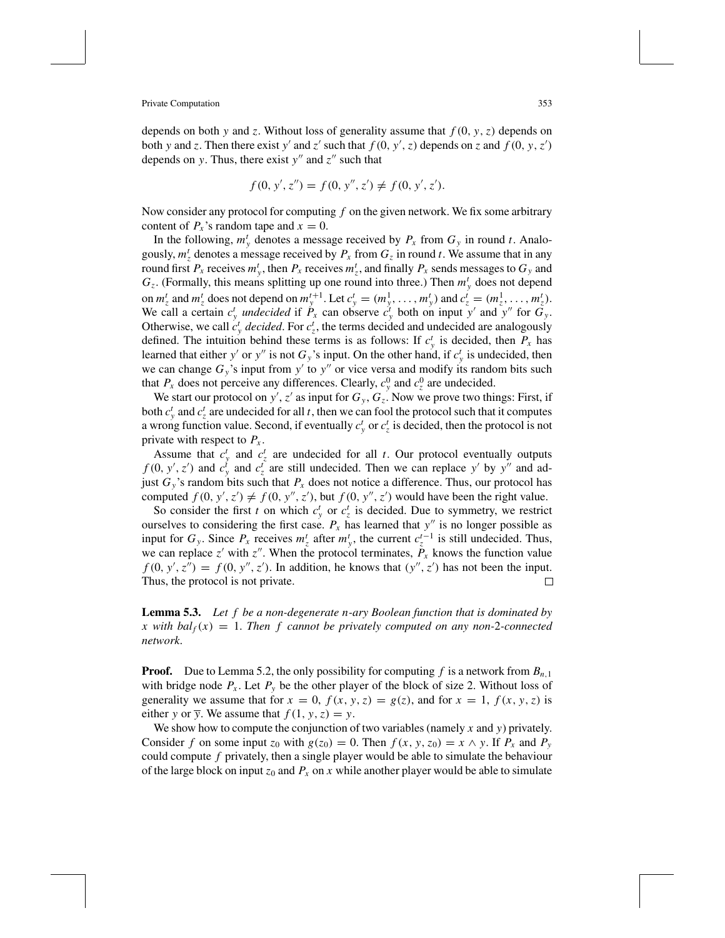depends on both *y* and *z*. Without loss of generality assume that  $f(0, y, z)$  depends on both *y* and *z*. Then there exist *y'* and *z'* such that  $f(0, y', z)$  depends on *z* and  $f(0, y, z')$ depends on *y*. Thus, there exist  $y''$  and  $z''$  such that

$$
f(0, y', z'') = f(0, y'', z') \neq f(0, y', z').
$$

Now consider any protocol for computing *f* on the given network. We fix some arbitrary content of  $P_x$ 's random tape and  $x = 0$ .

In the following,  $m_y^t$  denotes a message received by  $P_x$  from  $G_y$  in round *t*. Analogously,  $m_z^t$  denotes a message received by  $P_x$  from  $G_z$  in round *t*. We assume that in any round first  $P_x$  receives  $m_y^t$ , then  $P_x$  receives  $m_z^t$ , and finally  $P_x$  sends messages to  $G_y$  and  $G_z$ . (Formally, this means splitting up one round into three.) Then  $m_y^t$  does not depend on  $m_z^t$  and  $m_z^t$  does not depend on  $m_y^{t+1}$ . Let  $c_y^t = (m_y^1, \dots, m_y^t)$  and  $c_z^t = (m_z^1, \dots, m_z^t)$ . We call a certain  $c_y^t$  *undecided* if  $P_x$  can observe  $c_y^t$  both on input y' and y'' for  $G_y$ . Otherwise, we call  $c_y^t$  *decided*. For  $c_z^t$ , the terms decided and undecided are analogously defined. The intuition behind these terms is as follows: If  $c_y^t$  is decided, then  $P_x$  has learned that either *y'* or *y''* is not  $G_y$ 's input. On the other hand, if  $c_y^t$  is undecided, then we can change  $G_y$ 's input from  $y'$  to  $y''$  or vice versa and modify its random bits such that  $P_x$  does not perceive any differences. Clearly,  $c_y^0$  and  $c_z^0$  are undecided.

We start our protocol on  $y'$ ,  $z'$  as input for  $G_y$ ,  $G_z$ . Now we prove two things: First, if both  $c_y^t$  and  $c_z^t$  are undecided for all *t*, then we can fool the protocol such that it computes a wrong function value. Second, if eventually  $c_y^t$  or  $c_z^t$  is decided, then the protocol is not private with respect to  $P_x$ .

Assume that  $c_y^t$  and  $c_z^t$  are undecided for all *t*. Our protocol eventually outputs *f* (0, *y'*, *z'*) and  $c^i$ <sub>*y*</sub> and  $c^i$ <sub>*z*</sub> are still undecided. Then we can replace *y'* by *y''* and adjust  $G_y$ 's random bits such that  $P_x$  does not notice a difference. Thus, our protocol has computed  $f(0, y', z') \neq f(0, y'', z')$ , but  $f(0, y'', z')$  would have been the right value.

So consider the first *t* on which  $c_y^t$  or  $c_z^t$  is decided. Due to symmetry, we restrict ourselves to considering the first case.  $P_x$  has learned that  $y''$  is no longer possible as input for  $G_y$ . Since  $P_x$  receives  $m^t_z$  after  $m^t_y$ , the current  $c^{t-1}_z$  is still undecided. Thus, we can replace  $z'$  with  $z''$ . When the protocol terminates,  $P_x$  knows the function value  $f(0, y', z'') = f(0, y'', z')$ . In addition, he knows that  $(y'', z')$  has not been the input. Thus, the protocol is not private. 口

**Lemma 5.3.** *Let f be a non-degenerate n-ary Boolean function that is dominated by x* with  $bal_f(x) = 1$ . *Then f cannot be privately computed on any non-2-connected network*.

**Proof.** Due to Lemma 5.2, the only possibility for computing f is a network from  $B_{n,1}$ with bridge node  $P_x$ . Let  $P_y$  be the other player of the block of size 2. Without loss of generality we assume that for  $x = 0$ ,  $f(x, y, z) = g(z)$ , and for  $x = 1$ ,  $f(x, y, z)$  is either *y* or  $\overline{y}$ . We assume that  $f(1, y, z) = y$ .

We show how to compute the conjunction of two variables (namely *x* and *y*) privately. Consider *f* on some input  $z_0$  with  $g(z_0) = 0$ . Then  $f(x, y, z_0) = x \wedge y$ . If  $P_x$  and  $P_y$ could compute *f* privately, then a single player would be able to simulate the behaviour of the large block on input  $z_0$  and  $P_x$  on x while another player would be able to simulate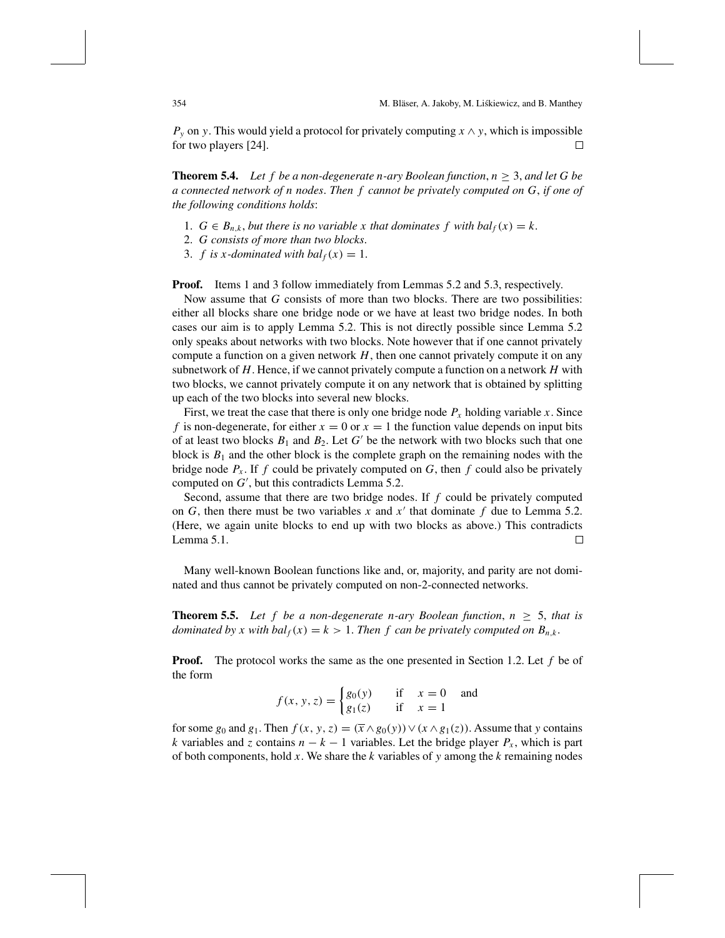$P_y$  on *y*. This would yield a protocol for privately computing  $x \wedge y$ , which is impossible for two players [24]. 囗

**Theorem 5.4.** *Let f be a non-degenerate n-ary Boolean function,*  $n \geq 3$ *, and let G be a connected network of n nodes*. *Then f cannot be privately computed on G*, *if one of the following conditions holds*:

- 1.  $G \in B_{n,k}$ , *but there is no variable x that dominates f with*  $bal_f(x) = k$ *.*
- 2. *G consists of more than two blocks*.
- 3. *f* is *x*-dominated with  $bal<sub>f</sub>(x) = 1$ .

**Proof.** Items 1 and 3 follow immediately from Lemmas 5.2 and 5.3, respectively.

Now assume that *G* consists of more than two blocks. There are two possibilities: either all blocks share one bridge node or we have at least two bridge nodes. In both cases our aim is to apply Lemma 5.2. This is not directly possible since Lemma 5.2 only speaks about networks with two blocks. Note however that if one cannot privately compute a function on a given network  $H$ , then one cannot privately compute it on any subnetwork of *H*. Hence, if we cannot privately compute a function on a network *H* with two blocks, we cannot privately compute it on any network that is obtained by splitting up each of the two blocks into several new blocks.

First, we treat the case that there is only one bridge node  $P<sub>x</sub>$  holding variable *x*. Since *f* is non-degenerate, for either  $x = 0$  or  $x = 1$  the function value depends on input bits of at least two blocks  $B_1$  and  $B_2$ . Let G' be the network with two blocks such that one block is  $B_1$  and the other block is the complete graph on the remaining nodes with the bridge node  $P_x$ . If  $f$  could be privately computed on  $G$ , then  $f$  could also be privately computed on *G'*, but this contradicts Lemma 5.2.

Second, assume that there are two bridge nodes. If *f* could be privately computed on  $G$ , then there must be two variables  $x$  and  $x'$  that dominate  $f$  due to Lemma 5.2. (Here, we again unite blocks to end up with two blocks as above.) This contradicts Lemma 5.1. П

Many well-known Boolean functions like and, or, majority, and parity are not dominated and thus cannot be privately computed on non-2-connected networks.

**Theorem 5.5.** Let f be a non-degenerate n-ary Boolean function,  $n \geq 5$ , that is *dominated by x with bal<sub>f</sub>*( $x$ ) =  $k$  > 1. *Then f can be privately computed on*  $B_{n,k}$ .

**Proof.** The protocol works the same as the one presented in Section 1.2. Let f be of the form

$$
f(x, y, z) = \begin{cases} g_0(y) & \text{if } x = 0 \text{ and} \\ g_1(z) & \text{if } x = 1 \end{cases}
$$

for some *g*<sub>0</sub> and *g*<sub>1</sub>. Then  $f(x, y, z) = (\overline{x} \wedge g_0(y)) \vee (x \wedge g_1(z))$ . Assume that *y* contains *k* variables and *z* contains  $n - k - 1$  variables. Let the bridge player  $P_x$ , which is part of both components, hold *x*. We share the *k* variables of *y* among the *k* remaining nodes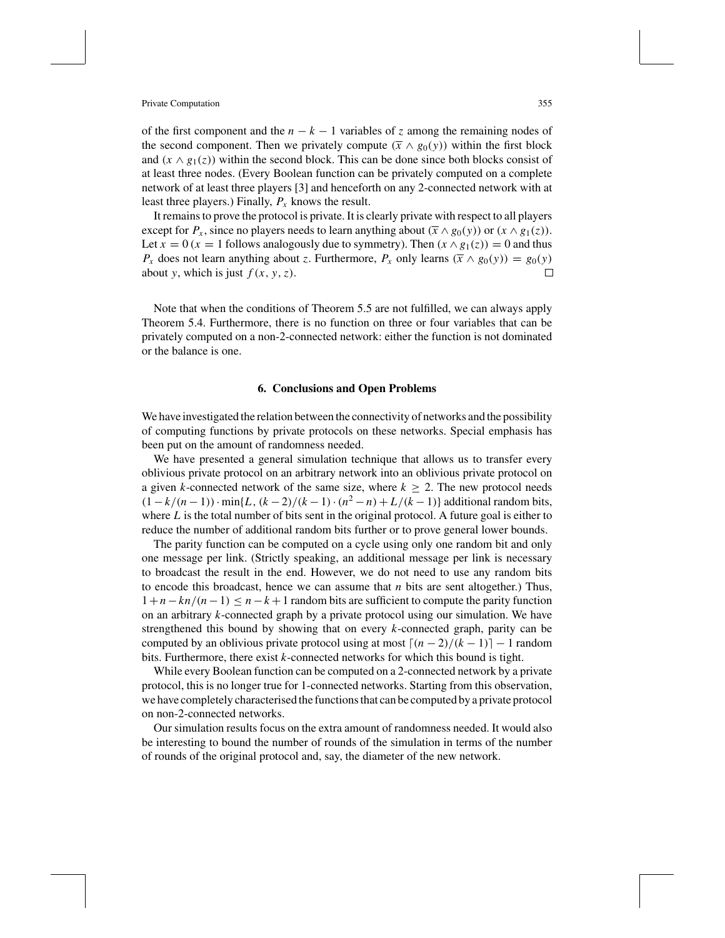of the first component and the  $n - k - 1$  variables of *z* among the remaining nodes of the second component. Then we privately compute  $(\bar{x} \wedge g_0(y))$  within the first block and  $(x \wedge g_1(z))$  within the second block. This can be done since both blocks consist of at least three nodes. (Every Boolean function can be privately computed on a complete network of at least three players [3] and henceforth on any 2-connected network with at least three players.) Finally, *Px* knows the result.

It remains to prove the protocol is private. It is clearly private with respect to all players except for  $P_x$ , since no players needs to learn anything about  $(\overline{x} \wedge g_0(y))$  or  $(x \wedge g_1(z))$ . Let  $x = 0$  ( $x = 1$  follows analogously due to symmetry). Then  $(x \wedge g_1(z)) = 0$  and thus *P<sub>x</sub>* does not learn anything about *z*. Furthermore, *P<sub>x</sub>* only learns ( $\overline{x} \wedge g_0(y) = g_0(y)$ about *y*, which is just  $f(x, y, z)$ .  $\Box$ 

Note that when the conditions of Theorem 5.5 are not fulfilled, we can always apply Theorem 5.4. Furthermore, there is no function on three or four variables that can be privately computed on a non-2-connected network: either the function is not dominated or the balance is one.

#### **6. Conclusions and Open Problems**

We have investigated the relation between the connectivity of networks and the possibility of computing functions by private protocols on these networks. Special emphasis has been put on the amount of randomness needed.

We have presented a general simulation technique that allows us to transfer every oblivious private protocol on an arbitrary network into an oblivious private protocol on a given *k*-connected network of the same size, where  $k \geq 2$ . The new protocol needs  $(1-k/(n-1)) \cdot min\{L, (k-2)/(k-1) \cdot (n^2-n) + L/(k-1)\}$  additional random bits, where *L* is the total number of bits sent in the original protocol. A future goal is either to reduce the number of additional random bits further or to prove general lower bounds.

The parity function can be computed on a cycle using only one random bit and only one message per link. (Strictly speaking, an additional message per link is necessary to broadcast the result in the end. However, we do not need to use any random bits to encode this broadcast, hence we can assume that *n* bits are sent altogether.) Thus,  $1+n - kn/(n-1) \leq n-k+1$  random bits are sufficient to compute the parity function on an arbitrary *k*-connected graph by a private protocol using our simulation. We have strengthened this bound by showing that on every *k*-connected graph, parity can be computed by an oblivious private protocol using at most  $[(n-2)/(k-1)] - 1$  random bits. Furthermore, there exist *k*-connected networks for which this bound is tight.

While every Boolean function can be computed on a 2-connected network by a private protocol, this is no longer true for 1-connected networks. Starting from this observation, we have completely characterised the functions that can be computed by a private protocol on non-2-connected networks.

Our simulation results focus on the extra amount of randomness needed. It would also be interesting to bound the number of rounds of the simulation in terms of the number of rounds of the original protocol and, say, the diameter of the new network.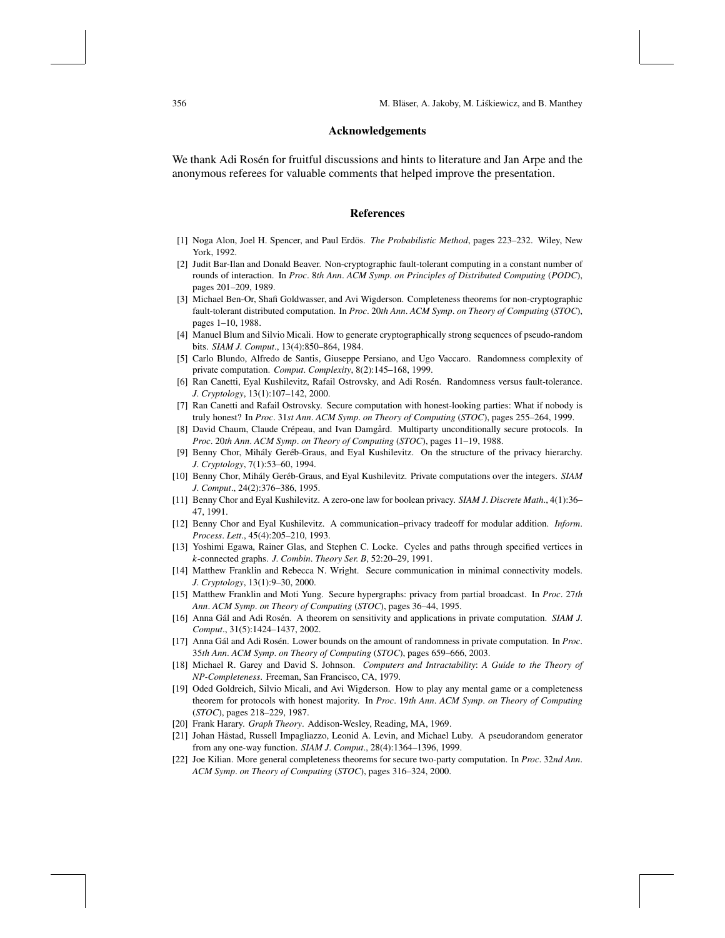# **Acknowledgements**

We thank Adi Rosén for fruitful discussions and hints to literature and Jan Arpe and the anonymous referees for valuable comments that helped improve the presentation.

#### **References**

- [1] Noga Alon, Joel H. Spencer, and Paul Erdös. *The Probabilistic Method*, pages 223-232. Wiley, New York, 1992.
- [2] Judit Bar-Ilan and Donald Beaver. Non-cryptographic fault-tolerant computing in a constant number of rounds of interaction. In *Proc*. 8*th Ann*. *ACM Symp*. *on Principles of Distributed Computing* (*PODC*), pages 201–209, 1989.
- [3] Michael Ben-Or, Shafi Goldwasser, and Avi Wigderson. Completeness theorems for non-cryptographic fault-tolerant distributed computation. In *Proc*. 20*th Ann*. *ACM Symp*. *on Theory of Computing* (*STOC*), pages 1–10, 1988.
- [4] Manuel Blum and Silvio Micali. How to generate cryptographically strong sequences of pseudo-random bits. *SIAM J*. *Comput*., 13(4):850–864, 1984.
- [5] Carlo Blundo, Alfredo de Santis, Giuseppe Persiano, and Ugo Vaccaro. Randomness complexity of private computation. *Comput*. *Complexity*, 8(2):145–168, 1999.
- [6] Ran Canetti, Eyal Kushilevitz, Rafail Ostrovsky, and Adi Rosén. Randomness versus fault-tolerance. *J*. *Cryptology*, 13(1):107–142, 2000.
- [7] Ran Canetti and Rafail Ostrovsky. Secure computation with honest-looking parties: What if nobody is truly honest? In *Proc*. 31*st Ann*. *ACM Symp*. *on Theory of Computing* (*STOC*), pages 255–264, 1999.
- [8] David Chaum, Claude Crépeau, and Ivan Damgård. Multiparty unconditionally secure protocols. In *Proc*. 20*th Ann*. *ACM Symp*. *on Theory of Computing* (*STOC*), pages 11–19, 1988.
- [9] Benny Chor, Mihály Geréb-Graus, and Eyal Kushilevitz. On the structure of the privacy hierarchy. *J*. *Cryptology*, 7(1):53–60, 1994.
- [10] Benny Chor, Mih´aly Ger´eb-Graus, and Eyal Kushilevitz. Private computations over the integers. *SIAM J*. *Comput*., 24(2):376–386, 1995.
- [11] Benny Chor and Eyal Kushilevitz. A zero-one law for boolean privacy. *SIAM J*. *Discrete Math*., 4(1):36– 47, 1991.
- [12] Benny Chor and Eyal Kushilevitz. A communication–privacy tradeoff for modular addition. *Inform*. *Process*. *Lett*., 45(4):205–210, 1993.
- [13] Yoshimi Egawa, Rainer Glas, and Stephen C. Locke. Cycles and paths through specified vertices in *k*-connected graphs. *J*. *Combin*. *Theory Ser*. *B*, 52:20–29, 1991.
- [14] Matthew Franklin and Rebecca N. Wright. Secure communication in minimal connectivity models. *J*. *Cryptology*, 13(1):9–30, 2000.
- [15] Matthew Franklin and Moti Yung. Secure hypergraphs: privacy from partial broadcast. In *Proc*. 27*th Ann*. *ACM Symp*. *on Theory of Computing* (*STOC*), pages 36–44, 1995.
- [16] Anna Gál and Adi Rosén. A theorem on sensitivity and applications in private computation. *SIAM J*. *Comput*., 31(5):1424–1437, 2002.
- [17] Anna G´al and Adi Ros´en. Lower bounds on the amount of randomness in private computation. In *Proc*. 35*th Ann*. *ACM Symp*. *on Theory of Computing* (*STOC*), pages 659–666, 2003.
- [18] Michael R. Garey and David S. Johnson. *Computers and Intractability*: *A Guide to the Theory of NP-Completeness*. Freeman, San Francisco, CA, 1979.
- [19] Oded Goldreich, Silvio Micali, and Avi Wigderson. How to play any mental game or a completeness theorem for protocols with honest majority. In *Proc*. 19*th Ann*. *ACM Symp*. *on Theory of Computing* (*STOC*), pages 218–229, 1987.
- [20] Frank Harary. *Graph Theory*. Addison-Wesley, Reading, MA, 1969.
- [21] Johan Håstad, Russell Impagliazzo, Leonid A. Levin, and Michael Luby. A pseudorandom generator from any one-way function. *SIAM J*. *Comput*., 28(4):1364–1396, 1999.
- [22] Joe Kilian. More general completeness theorems for secure two-party computation. In *Proc*. 32*nd Ann*. *ACM Symp*. *on Theory of Computing* (*STOC*), pages 316–324, 2000.